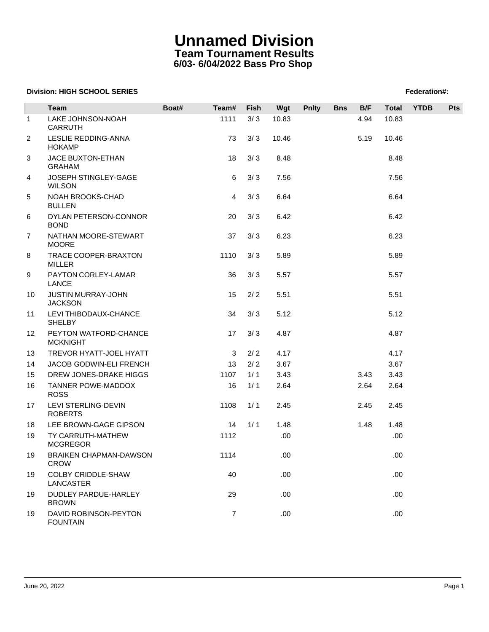## **Unnamed Division Team Tournament Results 6/03- 6/04/2022 Bass Pro Shop**

### **Division: HIGH SCHOOL SERIES** Federation And The SCHOOL SERIES Federation And The SCHOOL SERIES FEDERATION AND THE SCHOOL SERIES FEDERATION AND THE SCHOOL SERIES FEDERATION AND THE SCHOOL SERIES

|                | Team                                         | Boat# | Team#          | Fish | Wgt   | <b>Pnlty</b> | <b>Bns</b> | B/F  | Total | <b>YTDB</b> | Pts |  |
|----------------|----------------------------------------------|-------|----------------|------|-------|--------------|------------|------|-------|-------------|-----|--|
| $\mathbf{1}$   | LAKE JOHNSON-NOAH<br><b>CARRUTH</b>          |       | 1111           | 3/3  | 10.83 |              |            | 4.94 | 10.83 |             |     |  |
| $\overline{2}$ | LESLIE REDDING-ANNA<br><b>HOKAMP</b>         |       | 73             | 3/3  | 10.46 |              |            | 5.19 | 10.46 |             |     |  |
| 3              | JACE BUXTON-ETHAN<br><b>GRAHAM</b>           |       | 18             | 3/3  | 8.48  |              |            |      | 8.48  |             |     |  |
| 4              | JOSEPH STINGLEY-GAGE<br><b>WILSON</b>        |       | 6              | 3/3  | 7.56  |              |            |      | 7.56  |             |     |  |
| 5              | NOAH BROOKS-CHAD<br><b>BULLEN</b>            |       | $\overline{4}$ | 3/3  | 6.64  |              |            |      | 6.64  |             |     |  |
| 6              | DYLAN PETERSON-CONNOR<br><b>BOND</b>         |       | 20             | 3/3  | 6.42  |              |            |      | 6.42  |             |     |  |
| $\overline{7}$ | NATHAN MOORE-STEWART<br><b>MOORE</b>         |       | 37             | 3/3  | 6.23  |              |            |      | 6.23  |             |     |  |
| 8              | TRACE COOPER-BRAXTON<br><b>MILLER</b>        |       | 1110           | 3/3  | 5.89  |              |            |      | 5.89  |             |     |  |
| 9              | PAYTON CORLEY-LAMAR<br><b>LANCE</b>          |       | 36             | 3/3  | 5.57  |              |            |      | 5.57  |             |     |  |
| 10             | JUSTIN MURRAY-JOHN<br><b>JACKSON</b>         |       | 15             | 2/2  | 5.51  |              |            |      | 5.51  |             |     |  |
| 11             | LEVI THIBODAUX-CHANCE<br><b>SHELBY</b>       |       | 34             | 3/3  | 5.12  |              |            |      | 5.12  |             |     |  |
| 12             | PEYTON WATFORD-CHANCE<br><b>MCKNIGHT</b>     |       | 17             | 3/3  | 4.87  |              |            |      | 4.87  |             |     |  |
| 13             | TREVOR HYATT-JOEL HYATT                      |       | 3              | 2/2  | 4.17  |              |            |      | 4.17  |             |     |  |
| 14             | JACOB GODWIN-ELI FRENCH                      |       | 13             | 2/2  | 3.67  |              |            |      | 3.67  |             |     |  |
| 15             | DREW JONES-DRAKE HIGGS                       |       | 1107           | 1/1  | 3.43  |              |            | 3.43 | 3.43  |             |     |  |
| 16             | TANNER POWE-MADDOX<br><b>ROSS</b>            |       | 16             | 1/1  | 2.64  |              |            | 2.64 | 2.64  |             |     |  |
| 17             | LEVI STERLING-DEVIN<br><b>ROBERTS</b>        |       | 1108           | 1/1  | 2.45  |              |            | 2.45 | 2.45  |             |     |  |
| 18             | LEE BROWN-GAGE GIPSON                        |       | 14             | 1/1  | 1.48  |              |            | 1.48 | 1.48  |             |     |  |
| 19             | TY CARRUTH-MATHEW<br><b>MCGREGOR</b>         |       | 1112           |      | .00   |              |            |      | .00.  |             |     |  |
| 19             | <b>BRAIKEN CHAPMAN-DAWSON</b><br><b>CROW</b> |       | 1114           |      | .00   |              |            |      | .00   |             |     |  |
| 19             | COLBY CRIDDLE-SHAW<br><b>LANCASTER</b>       |       | 40             |      | .00   |              |            |      | .00.  |             |     |  |
| 19             | DUDLEY PARDUE-HARLEY<br><b>BROWN</b>         |       | 29             |      | .00   |              |            |      | .00.  |             |     |  |
| 19             | DAVID ROBINSON-PEYTON<br><b>FOUNTAIN</b>     |       | $\overline{7}$ |      | .00   |              |            |      | .00.  |             |     |  |